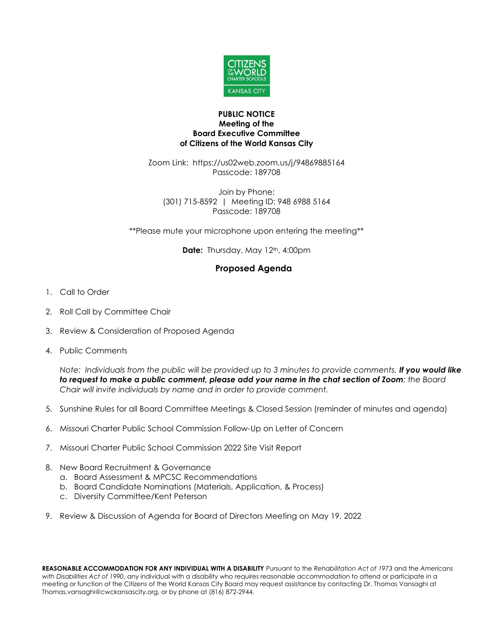

## **PUBLIC NOTICE Meeting of the Board Executive Committee of Citizens of the World Kansas City**

Zoom Link: https://us02web.zoom.us/j/94869885164 Passcode: 189708

Join by Phone: (301) 715-8592 | Meeting ID: 948 6988 5164 Passcode: 189708

\*\*Please mute your microphone upon entering the meeting\*\*

**Date:** Thursday, May 12<sup>th</sup>, 4:00pm

## **Proposed Agenda**

- 1. Call to Order
- 2. Roll Call by Committee Chair
- 3. Review & Consideration of Proposed Agenda
- 4. Public Comments

*Note: Individuals from the public will be provided up to 3 minutes to provide comments. If you would like to request to make a public comment, please add your name in the chat section of Zoom; the Board Chair will invite individuals by name and in order to provide comment.*

- 5. Sunshine Rules for all Board Committee Meetings & Closed Session (reminder of minutes and agenda)
- 6. Missouri Charter Public School Commission Follow-Up on Letter of Concern
- 7. Missouri Charter Public School Commission 2022 Site Visit Report
- 8. New Board Recruitment & Governance
	- a. Board Assessment & MPCSC Recommendations
	- b. Board Candidate Nominations (Materials, Application, & Process)
	- c. Diversity Committee/Kent Peterson
- 9. Review & Discussion of Agenda for Board of Directors Meeting on May 19, 2022

**REASONABLE ACCOMMODATION FOR ANY INDIVIDUAL WITH A DISABILITY** Pursuant to the *Rehabilitation Act of 1973* and the *Americans with Disabilities Act of 1990*, any individual with a disability who requires reasonable accommodation to attend or participate in a meeting or function of the Citizens of the World Kansas City Board may request assistance by contacting Dr. Thomas Vansaghi at Thomas.vansaghi@cwckansascity.org, or by phone at (816) 872-2944.